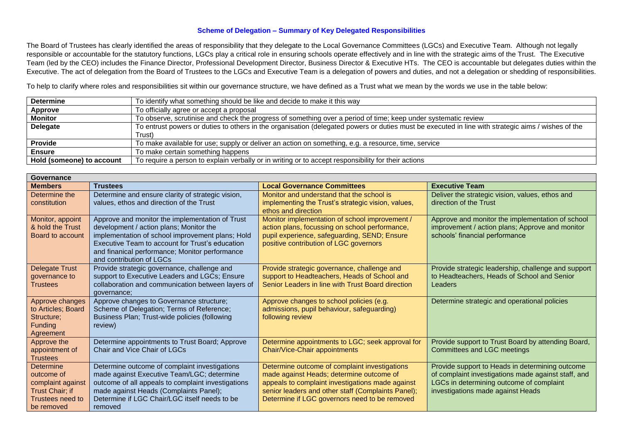## **Scheme of Delegation – Summary of Key Delegated Responsibilities**

The Board of Trustees has clearly identified the areas of responsibility that they delegate to the Local Governance Committees (LGCs) and Executive Team. Although not legally responsible or accountable for the statutory functions, LGCs play a critical role in ensuring schools operate effectively and in line with the strategic aims of the Trust. The Executive Team (led by the CEO) includes the Finance Director, Professional Development Director, Business Director & Executive HTs. The CEO is accountable but delegates duties within the Executive. The act of delegation from the Board of Trustees to the LGCs and Executive Team is a delegation of powers and duties, and not a delegation or shedding of responsibilities.

To help to clarify where roles and responsibilities sit within our governance structure, we have defined as a Trust what we mean by the words we use in the table below:

| <b>Determine</b>          | To identify what something should be like and decide to make it this way                                                                           |  |
|---------------------------|----------------------------------------------------------------------------------------------------------------------------------------------------|--|
| Approve                   | To officially agree or accept a proposal                                                                                                           |  |
| <b>Monitor</b>            | To observe, scrutinise and check the progress of something over a period of time; keep under systematic review                                     |  |
| <b>Delegate</b>           | To entrust powers or duties to others in the organisation (delegated powers or duties must be executed in line with strategic aims / wishes of the |  |
|                           | Trust)                                                                                                                                             |  |
| <b>Provide</b>            | To make available for use; supply or deliver an action on something, e.g. a resource, time, service                                                |  |
| <b>Ensure</b>             | To make certain something happens                                                                                                                  |  |
| Hold (someone) to account | To require a person to explain verbally or in writing or to accept responsibility for their actions                                                |  |

| Governance                           |                                                                                                    |                                                                                                   |                                                                                                     |
|--------------------------------------|----------------------------------------------------------------------------------------------------|---------------------------------------------------------------------------------------------------|-----------------------------------------------------------------------------------------------------|
| <b>Members</b>                       | <b>Trustees</b>                                                                                    | <b>Local Governance Committees</b>                                                                | <b>Executive Team</b>                                                                               |
| Determine the<br>constitution        | Determine and ensure clarity of strategic vision,<br>values, ethos and direction of the Trust      | Monitor and understand that the school is<br>implementing the Trust's strategic vision, values,   | Deliver the strategic vision, values, ethos and<br>direction of the Trust                           |
|                                      |                                                                                                    | ethos and direction                                                                               |                                                                                                     |
| Monitor, appoint<br>& hold the Trust | Approve and monitor the implementation of Trust<br>development / action plans; Monitor the         | Monitor implementation of school improvement /<br>action plans, focussing on school performance,  | Approve and monitor the implementation of school<br>improvement / action plans; Approve and monitor |
| Board to account                     | implementation of school improvement plans; Hold                                                   | pupil experience, safeguarding, SEND; Ensure                                                      | schools' financial performance                                                                      |
|                                      | Executive Team to account for Trust's education                                                    | positive contribution of LGC governors                                                            |                                                                                                     |
|                                      | and finanical performance; Monitor performance<br>and contribution of LGCs                         |                                                                                                   |                                                                                                     |
| Delegate Trust                       | Provide strategic governance, challenge and                                                        | Provide strategic governance, challenge and                                                       | Provide strategic leadership, challenge and support                                                 |
| governance to<br><b>Trustees</b>     | support to Executive Leaders and LGCs; Ensure<br>collaboration and communication between layers of | support to Headteachers, Heads of School and<br>Senior Leaders in line with Trust Board direction | to Headteachers, Heads of School and Senior<br>Leaders                                              |
|                                      | qovernance;                                                                                        |                                                                                                   |                                                                                                     |
| Approve changes                      | Approve changes to Governance structure;                                                           | Approve changes to school policies (e.g.                                                          | Determine strategic and operational policies                                                        |
| to Articles; Board<br>Structure:     | Scheme of Delegation; Terms of Reference;<br>Business Plan; Trust-wide policies (following         | admissions, pupil behaviour, safeguarding)<br>following review                                    |                                                                                                     |
| <b>Funding</b>                       | review)                                                                                            |                                                                                                   |                                                                                                     |
| Agreement                            |                                                                                                    |                                                                                                   |                                                                                                     |
| Approve the                          | Determine appointments to Trust Board; Approve                                                     | Determine appointments to LGC; seek approval for                                                  | Provide support to Trust Board by attending Board,                                                  |
| appointment of<br><b>Trustees</b>    | Chair and Vice Chair of LGCs                                                                       | Chair/Vice-Chair appointments                                                                     | Committees and LGC meetings                                                                         |
| Determine                            | Determine outcome of complaint investigations                                                      | Determine outcome of complaint investigations                                                     | Provide support to Heads in determining outcome                                                     |
| outcome of                           | made against Executive Team/LGC; determine                                                         | made against Heads; determine outcome of                                                          | of complaint investigations made against staff, and                                                 |
| complaint against                    | outcome of all appeals to complaint investigations                                                 | appeals to complaint investigations made against                                                  | LGCs in determining outcome of complaint                                                            |
| Trust Chair; if                      | made against Heads (Complaints Panel);                                                             | senior leaders and other staff (Complaints Panel);                                                | investigations made against Heads                                                                   |
| Trustees need to                     | Determine if LGC Chair/LGC itself needs to be                                                      | Determine if LGC governors need to be removed                                                     |                                                                                                     |
| be removed                           | removed                                                                                            |                                                                                                   |                                                                                                     |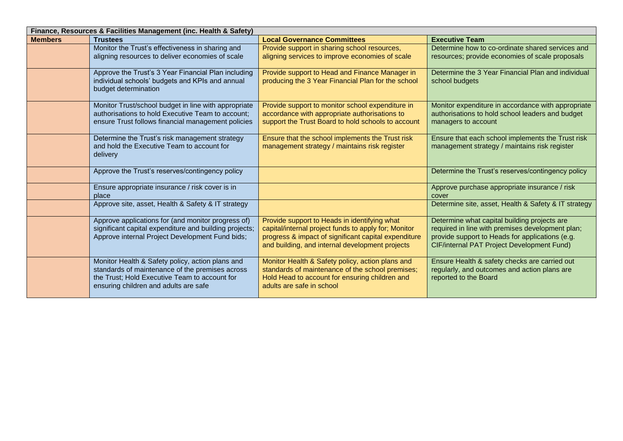| Finance, Resources & Facilities Management (inc. Health & Safety) |                                                                                                           |                                                                                                     |                                                                                                        |
|-------------------------------------------------------------------|-----------------------------------------------------------------------------------------------------------|-----------------------------------------------------------------------------------------------------|--------------------------------------------------------------------------------------------------------|
| <b>Members</b>                                                    | <b>Trustees</b>                                                                                           | <b>Local Governance Committees</b>                                                                  | <b>Executive Team</b>                                                                                  |
|                                                                   | Monitor the Trust's effectiveness in sharing and                                                          | Provide support in sharing school resources,                                                        | Determine how to co-ordinate shared services and                                                       |
|                                                                   | aligning resources to deliver economies of scale                                                          | aligning services to improve economies of scale                                                     | resources; provide economies of scale proposals                                                        |
|                                                                   |                                                                                                           |                                                                                                     |                                                                                                        |
|                                                                   | Approve the Trust's 3 Year Financial Plan including                                                       | Provide support to Head and Finance Manager in                                                      | Determine the 3 Year Financial Plan and individual                                                     |
|                                                                   | individual schools' budgets and KPIs and annual                                                           | producing the 3 Year Financial Plan for the school                                                  | school budgets                                                                                         |
|                                                                   | budget determination                                                                                      |                                                                                                     |                                                                                                        |
|                                                                   |                                                                                                           |                                                                                                     |                                                                                                        |
|                                                                   | Monitor Trust/school budget in line with appropriate<br>authorisations to hold Executive Team to account; | Provide support to monitor school expenditure in                                                    | Monitor expenditure in accordance with appropriate<br>authorisations to hold school leaders and budget |
|                                                                   | ensure Trust follows financial management policies                                                        | accordance with appropriate authorisations to<br>support the Trust Board to hold schools to account | managers to account                                                                                    |
|                                                                   |                                                                                                           |                                                                                                     |                                                                                                        |
|                                                                   | Determine the Trust's risk management strategy                                                            | Ensure that the school implements the Trust risk                                                    | Ensure that each school implements the Trust risk                                                      |
|                                                                   | and hold the Executive Team to account for                                                                | management strategy / maintains risk register                                                       | management strategy / maintains risk register                                                          |
|                                                                   | delivery                                                                                                  |                                                                                                     |                                                                                                        |
|                                                                   |                                                                                                           |                                                                                                     |                                                                                                        |
|                                                                   | Approve the Trust's reserves/contingency policy                                                           |                                                                                                     | Determine the Trust's reserves/contingency policy                                                      |
|                                                                   |                                                                                                           |                                                                                                     |                                                                                                        |
|                                                                   | Ensure appropriate insurance / risk cover is in                                                           |                                                                                                     | Approve purchase appropriate insurance / risk                                                          |
|                                                                   | place                                                                                                     |                                                                                                     | cover                                                                                                  |
|                                                                   | Approve site, asset, Health & Safety & IT strategy                                                        |                                                                                                     | Determine site, asset, Health & Safety & IT strategy                                                   |
|                                                                   | Approve applications for (and monitor progress of)                                                        | Provide support to Heads in identifying what                                                        | Determine what capital building projects are                                                           |
|                                                                   | significant capital expenditure and building projects;                                                    | capital/internal project funds to apply for; Monitor                                                | required in line with premises development plan;                                                       |
|                                                                   | Approve internal Project Development Fund bids;                                                           | progress & impact of significant capital expenditure                                                | provide support to Heads for applications (e.g.                                                        |
|                                                                   |                                                                                                           | and building, and internal development projects                                                     | CIF/internal PAT Project Development Fund)                                                             |
|                                                                   |                                                                                                           |                                                                                                     |                                                                                                        |
|                                                                   | Monitor Health & Safety policy, action plans and                                                          | Monitor Health & Safety policy, action plans and                                                    | Ensure Health & safety checks are carried out                                                          |
|                                                                   | standards of maintenance of the premises across                                                           | standards of maintenance of the school premises;                                                    | regularly, and outcomes and action plans are                                                           |
|                                                                   | the Trust; Hold Executive Team to account for                                                             | Hold Head to account for ensuring children and                                                      | reported to the Board                                                                                  |
|                                                                   | ensuring children and adults are safe                                                                     | adults are safe in school                                                                           |                                                                                                        |
|                                                                   |                                                                                                           |                                                                                                     |                                                                                                        |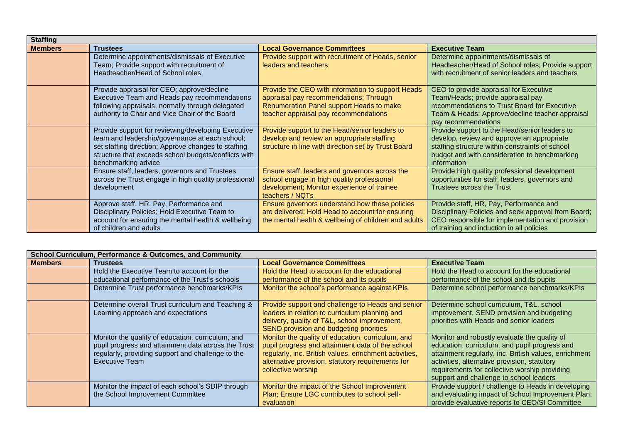| <b>Staffing</b> |                                                                                                                                                                                                                                            |                                                                                                                                                                                  |                                                                                                                                                                                                                |
|-----------------|--------------------------------------------------------------------------------------------------------------------------------------------------------------------------------------------------------------------------------------------|----------------------------------------------------------------------------------------------------------------------------------------------------------------------------------|----------------------------------------------------------------------------------------------------------------------------------------------------------------------------------------------------------------|
| <b>Members</b>  | <b>Trustees</b>                                                                                                                                                                                                                            | <b>Local Governance Committees</b>                                                                                                                                               | <b>Executive Team</b>                                                                                                                                                                                          |
|                 | Determine appointments/dismissals of Executive<br>Team; Provide support with recruitment of<br>Headteacher/Head of School roles                                                                                                            | Provide support with recruitment of Heads, senior<br>leaders and teachers                                                                                                        | Determine appointments/dismissals of<br>Headteacher/Head of School roles; Provide support<br>with recruitment of senior leaders and teachers                                                                   |
|                 | Provide appraisal for CEO; approve/decline<br>Executive Team and Heads pay recommendations<br>following appraisals, normally through delegated<br>authority to Chair and Vice Chair of the Board                                           | Provide the CEO with information to support Heads<br>appraisal pay recommendations; Through<br>Renumeration Panel support Heads to make<br>teacher appraisal pay recommendations | CEO to provide appraisal for Executive<br>Team/Heads; provide appraisal pay<br>recommendations to Trust Board for Executive<br>Team & Heads; Approve/decline teacher appraisal<br>pay recommendations          |
|                 | Provide support for reviewing/developing Executive<br>team and leadership/governance at each school;<br>set staffing direction; Approve changes to staffing<br>structure that exceeds school budgets/conflicts with<br>benchmarking advice | Provide support to the Head/senior leaders to<br>develop and review an appropriate staffing<br>structure in line with direction set by Trust Board                               | Provide support to the Head/senior leaders to<br>develop, review and approve an appropriate<br>staffing structure within constraints of school<br>budget and with consideration to benchmarking<br>information |
|                 | Ensure staff, leaders, governors and Trustees<br>across the Trust engage in high quality professional<br>development                                                                                                                       | Ensure staff, leaders and governors across the<br>school engage in high quality professional<br>development; Monitor experience of trainee<br>teachers / NQTs                    | Provide high quality professional development<br>opportunities for staff, leaders, governors and<br>Trustees across the Trust                                                                                  |
|                 | Approve staff, HR, Pay, Performance and<br>Disciplinary Policies; Hold Executive Team to<br>account for ensuring the mental health & wellbeing<br>of children and adults                                                                   | Ensure governors understand how these policies<br>are delivered; Hold Head to account for ensuring<br>the mental health & wellbeing of children and adults                       | Provide staff, HR, Pay, Performance and<br>Disciplinary Policies and seek approval from Board;<br>CEO responsible for implementation and provision<br>of training and induction in all policies                |

| <b>School Curriculum, Performance &amp; Outcomes, and Community</b> |                                                                                                                                                                                 |                                                                                                                                                                                                                                            |                                                                                                                                                                                                                                                                                                    |
|---------------------------------------------------------------------|---------------------------------------------------------------------------------------------------------------------------------------------------------------------------------|--------------------------------------------------------------------------------------------------------------------------------------------------------------------------------------------------------------------------------------------|----------------------------------------------------------------------------------------------------------------------------------------------------------------------------------------------------------------------------------------------------------------------------------------------------|
| <b>Members</b>                                                      | <b>Trustees</b>                                                                                                                                                                 | <b>Local Governance Committees</b>                                                                                                                                                                                                         | <b>Executive Team</b>                                                                                                                                                                                                                                                                              |
|                                                                     | Hold the Executive Team to account for the                                                                                                                                      | Hold the Head to account for the educational                                                                                                                                                                                               | Hold the Head to account for the educational                                                                                                                                                                                                                                                       |
|                                                                     | educational performance of the Trust's schools                                                                                                                                  | performance of the school and its pupils                                                                                                                                                                                                   | performance of the school and its pupils                                                                                                                                                                                                                                                           |
|                                                                     | Determine Trust performance benchmarks/KPIs                                                                                                                                     | Monitor the school's performance against KPIs                                                                                                                                                                                              | Determine school performance benchmarks/KPIs                                                                                                                                                                                                                                                       |
|                                                                     | Determine overall Trust curriculum and Teaching &<br>Learning approach and expectations                                                                                         | Provide support and challenge to Heads and senior<br>leaders in relation to curriculum planning and<br>delivery, quality of T&L, school improvement,<br>SEND provision and budgeting priorities                                            | Determine school curriculum, T&L, school<br>improvement, SEND provision and budgeting<br>priorities with Heads and senior leaders                                                                                                                                                                  |
|                                                                     | Monitor the quality of education, curriculum, and<br>pupil progress and attainment data across the Trust<br>regularly, providing support and challenge to the<br>Executive Team | Monitor the quality of education, curriculum, and<br>pupil progress and attainment data of the school<br>regularly, inc. British values, enrichment activities,<br>alternative provision, statutory requirements for<br>collective worship | Monitor and robustly evaluate the quality of<br>education, curriculum, and pupil progress and<br>attainment regularly, inc. British values, enrichment<br>activities, alternative provision, statutory<br>requirements for collective worship providing<br>support and challenge to school leaders |
|                                                                     | Monitor the impact of each school's SDIP through<br>the School Improvement Committee                                                                                            | Monitor the impact of the School Improvement<br>Plan; Ensure LGC contributes to school self-<br>evaluation                                                                                                                                 | Provide support / challenge to Heads in developing<br>and evaluating impact of School Improvement Plan;<br>provide evaluative reports to CEO/SI Committee                                                                                                                                          |